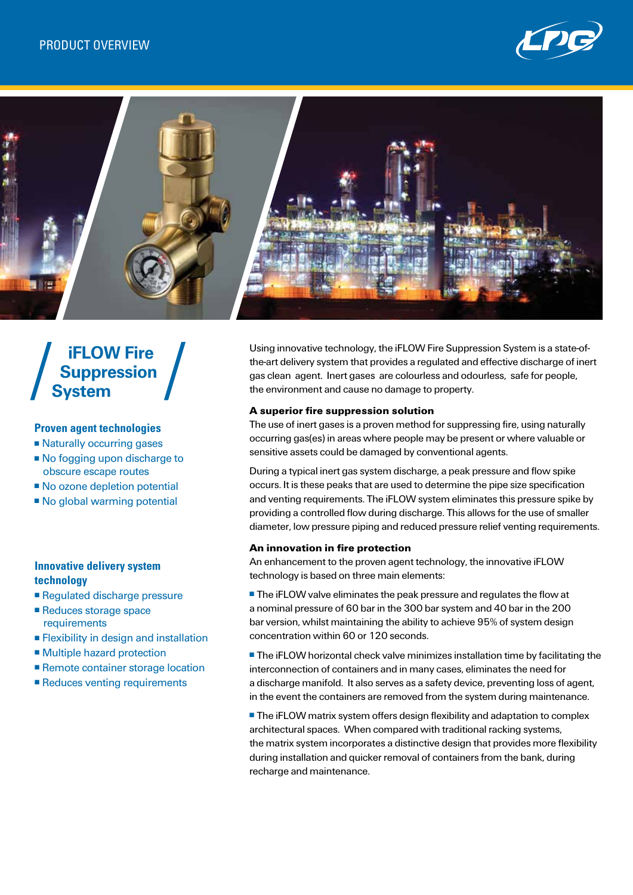



# **iFLOW Fire Suppression System**

## **Proven agent technologies**

- Naturally occurring gases
- No fogging upon discharge to obscure escape routes
- No ozone depletion potential
- $\blacksquare$  No global warming potential

# **Innovative delivery system technology**

- Regulated discharge pressure
- Reduces storage space requirements
- $\blacksquare$  Flexibility in design and installation
- Multiple hazard protection
- Remote container storage location
- Reduces venting requirements

Using innovative technology, the iFLOW Fire Suppression System is a state-ofthe-art delivery system that provides a regulated and effective discharge of inert gas clean agent. Inert gases are colourless and odourless, safe for people, the environment and cause no damage to property.

## A superior fire suppression solution

The use of inert gases is a proven method for suppressing fire, using naturally occurring gas(es) in areas where people may be present or where valuable or sensitive assets could be damaged by conventional agents.

During a typical inert gas system discharge, a peak pressure and flow spike occurs. It is these peaks that are used to determine the pipe size specification and venting requirements. The iFLOW system eliminates this pressure spike by providing a controlled flow during discharge. This allows for the use of smaller diameter, low pressure piping and reduced pressure relief venting requirements.

#### An innovation in fire protection

An enhancement to the proven agent technology, the innovative iFLOW technology is based on three main elements:

**The iFLOW valve eliminates the peak pressure and regulates the flow at** a nominal pressure of 60 bar in the 300 bar system and 40 bar in the 200 bar version, whilst maintaining the ability to achieve 95% of system design concentration within 60 or 120 seconds.

**The iFLOW horizontal check valve minimizes installation time by facilitating the** interconnection of containers and in many cases, eliminates the need for a discharge manifold. It also serves as a safety device, preventing loss of agent, in the event the containers are removed from the system during maintenance.

■ The iFLOW matrix system offers design flexibility and adaptation to complex architectural spaces. When compared with traditional racking systems, the matrix system incorporates a distinctive design that provides more flexibility during installation and quicker removal of containers from the bank, during recharge and maintenance.